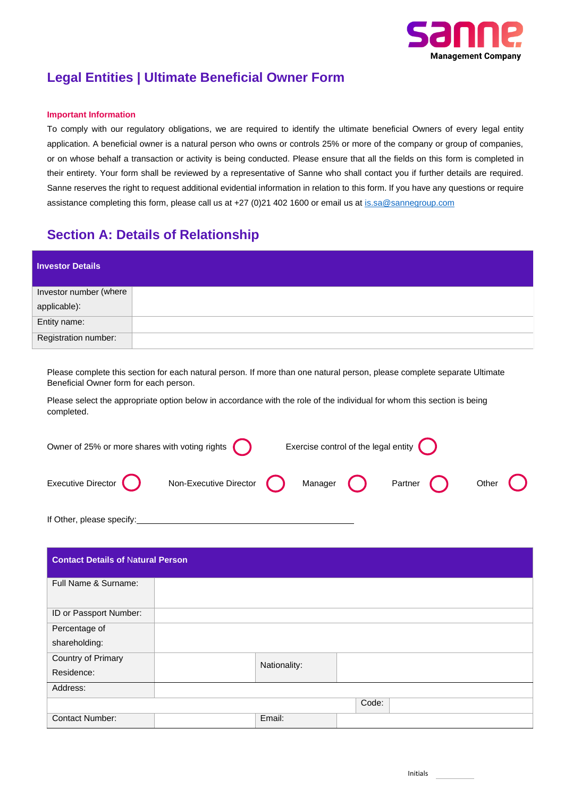

# **Legal Entities | Ultimate Beneficial Owner Form**

### **Important Information**

To comply with our regulatory obligations, we are required to identify the ultimate beneficial Owners of every legal entity application. A beneficial owner is a natural person who owns or controls 25% or more of the company or group of companies, or on whose behalf a transaction or activity is being conducted. Please ensure that all the fields on this form is completed in their entirety. Your form shall be reviewed by a representative of Sanne who shall contact you if further details are required. Sanne reserves the right to request additional evidential information in relation to this form. If you have any questions or require assistance completing this form, please call us at +27 (0)21 402 1600 or email us at [is.sa@sannegroup.com](mailto:is.sa@sannegroup.com)

### **Section A: Details of Relationship**

| <b>Investor Details</b> |  |
|-------------------------|--|
| Investor number (where  |  |
| applicable):            |  |
| Entity name:            |  |
| Registration number:    |  |

Please complete this section for each natural person. If more than one natural person, please complete separate Ultimate Beneficial Owner form for each person.

Please select the appropriate option below in accordance with the role of the individual for whom this section is being completed.

| Owner of 25% or more shares with voting rights $\bigodot$ |                                  |  | Exercise control of the legal entity $\bigcirc$ |  |            |         |  |  |  |
|-----------------------------------------------------------|----------------------------------|--|-------------------------------------------------|--|------------|---------|--|--|--|
| Executive Director                                        | Non-Executive Director $\bigcap$ |  | Manager $\qquad \qquad$                         |  | Partner () | Other ( |  |  |  |
| If Other, please specify:                                 |                                  |  |                                                 |  |            |         |  |  |  |

| <b>Contact Details of Natural Person</b> |  |              |       |  |  |  |
|------------------------------------------|--|--------------|-------|--|--|--|
| Full Name & Surname:                     |  |              |       |  |  |  |
| ID or Passport Number:                   |  |              |       |  |  |  |
| Percentage of                            |  |              |       |  |  |  |
| shareholding:                            |  |              |       |  |  |  |
| Country of Primary                       |  | Nationality: |       |  |  |  |
| Residence:                               |  |              |       |  |  |  |
| Address:                                 |  |              |       |  |  |  |
|                                          |  |              | Code: |  |  |  |
| <b>Contact Number:</b>                   |  | Email:       |       |  |  |  |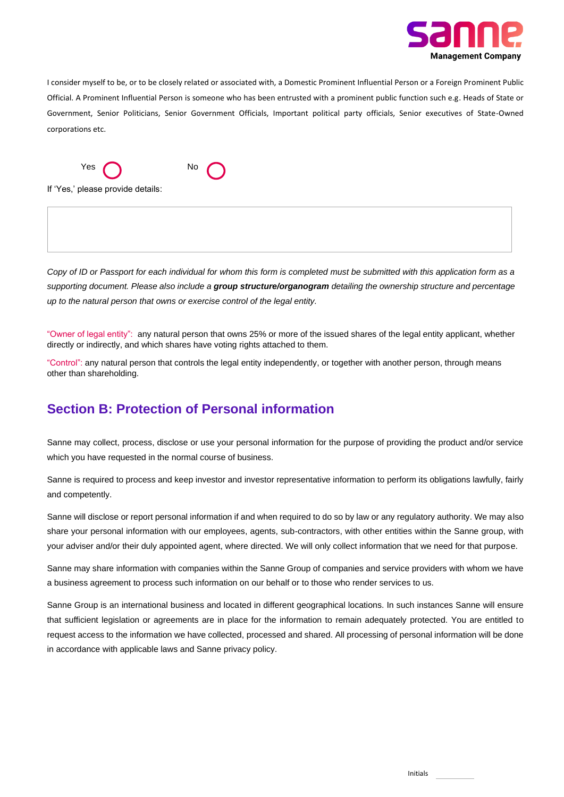

I consider myself to be, or to be closely related or associated with, a Domestic Prominent Influential Person or a Foreign Prominent Public Official. A Prominent Influential Person is someone who has been entrusted with a prominent public function such e.g. Heads of State or Government, Senior Politicians, Senior Government Officials, Important political party officials, Senior executives of State-Owned corporations etc.



If 'Yes,' please provide details:

*Copy of ID or Passport for each individual for whom this form is completed must be submitted with this application form as a supporting document. Please also include a group structure/organogram detailing the ownership structure and percentage up to the natural person that owns or exercise control of the legal entity.*

"Owner of legal entity": any natural person that owns 25% or more of the issued shares of the legal entity applicant, whether directly or indirectly, and which shares have voting rights attached to them.

"Control": any natural person that controls the legal entity independently, or together with another person, through means other than shareholding.

### **Section B: Protection of Personal information**

Sanne may collect, process, disclose or use your personal information for the purpose of providing the product and/or service which you have requested in the normal course of business.

Sanne is required to process and keep investor and investor representative information to perform its obligations lawfully, fairly and competently.

Sanne will disclose or report personal information if and when required to do so by law or any regulatory authority. We may also share your personal information with our employees, agents, sub-contractors, with other entities within the Sanne group, with your adviser and/or their duly appointed agent, where directed. We will only collect information that we need for that purpose.

Sanne may share information with companies within the Sanne Group of companies and service providers with whom we have a business agreement to process such information on our behalf or to those who render services to us.

Sanne Group is an international business and located in different geographical locations. In such instances Sanne will ensure that sufficient legislation or agreements are in place for the information to remain adequately protected. You are entitled to request access to the information we have collected, processed and shared. All processing of personal information will be done in accordance with applicable laws and Sanne privacy policy.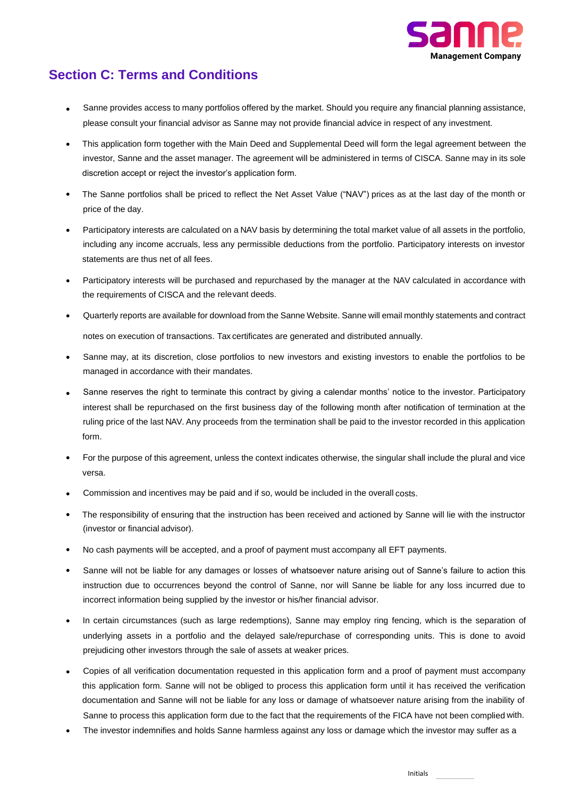

# **Section C: Terms and Conditions**

- Sanne provides access to many portfolios offered by the market. Should you require any financial planning assistance, please consult your financial advisor as Sanne may not provide financial advice in respect of any investment.
- This application form together with the Main Deed and Supplemental Deed will form the legal agreement between the investor, Sanne and the asset manager. The agreement will be administered in terms of CISCA. Sanne may in its sole discretion accept or reject the investor's application form.
- The Sanne portfolios shall be priced to reflect the Net Asset Value ("NAV") prices as at the last day of the month or price of the day.
- Participatory interests are calculated on a NAV basis by determining the total market value of all assets in the portfolio, including any income accruals, less any permissible deductions from the portfolio. Participatory interests on investor statements are thus net of all fees.
- Participatory interests will be purchased and repurchased by the manager at the NAV calculated in accordance with the requirements of CISCA and the relevant deeds.
- Quarterly reports are available for download from the Sanne Website. Sanne will email monthly statements and contract notes on execution of transactions. Tax certificates are generated and distributed annually.
- Sanne may, at its discretion, close portfolios to new investors and existing investors to enable the portfolios to be managed in accordance with their mandates.
- Sanne reserves the right to terminate this contract by giving a calendar months' notice to the investor. Participatory interest shall be repurchased on the first business day of the following month after notification of termination at the ruling price of the last NAV. Any proceeds from the termination shall be paid to the investor recorded in this application form.
- For the purpose of this agreement, unless the context indicates otherwise, the singular shall include the plural and vice versa.
- Commission and incentives may be paid and if so, would be included in the overall costs.
- The responsibility of ensuring that the instruction has been received and actioned by Sanne will lie with the instructor (investor or financial advisor).
- No cash payments will be accepted, and a proof of payment must accompany all EFT payments.
- Sanne will not be liable for any damages or losses of whatsoever nature arising out of Sanne's failure to action this instruction due to occurrences beyond the control of Sanne, nor will Sanne be liable for any loss incurred due to incorrect information being supplied by the investor or his/her financial advisor.
- In certain circumstances (such as large redemptions), Sanne may employ ring fencing, which is the separation of underlying assets in a portfolio and the delayed sale/repurchase of corresponding units. This is done to avoid prejudicing other investors through the sale of assets at weaker prices.
- Copies of all verification documentation requested in this application form and a proof of payment must accompany this application form. Sanne will not be obliged to process this application form until it has received the verification documentation and Sanne will not be liable for any loss or damage of whatsoever nature arising from the inability of Sanne to process this application form due to the fact that the requirements of the FICA have not been complied with.
- The investor indemnifies and holds Sanne harmless against any loss or damage which the investor may suffer as a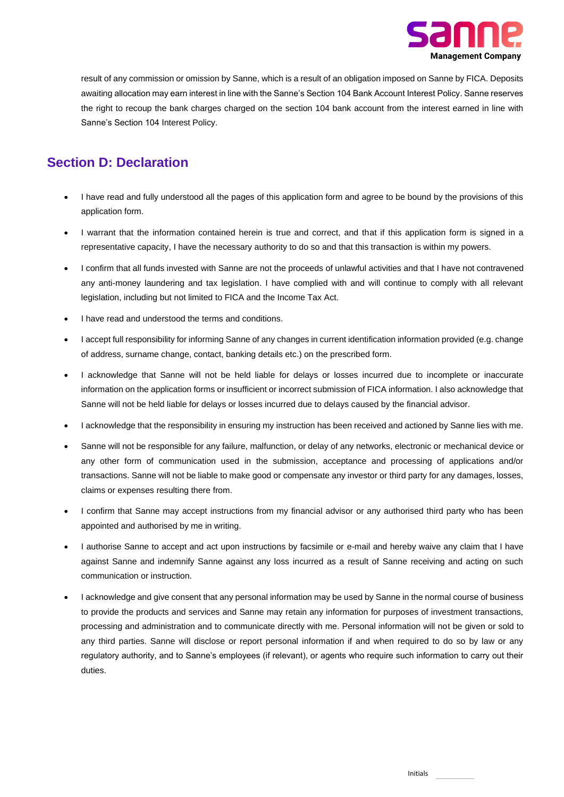

result of any commission or omission by Sanne, which is a result of an obligation imposed on Sanne by FICA. Deposits awaiting allocation may earn interest in line with the Sanne's Section 104 Bank Account Interest Policy. Sanne reserves the right to recoup the bank charges charged on the section 104 bank account from the interest earned in line with Sanne's Section 104 Interest Policy.

## **Section D: Declaration**

- I have read and fully understood all the pages of this application form and agree to be bound by the provisions of this application form.
- I warrant that the information contained herein is true and correct, and that if this application form is signed in a representative capacity, I have the necessary authority to do so and that this transaction is within my powers.
- I confirm that all funds invested with Sanne are not the proceeds of unlawful activities and that I have not contravened any anti-money laundering and tax legislation. I have complied with and will continue to comply with all relevant legislation, including but not limited to FICA and the Income Tax Act.
- I have read and understood the terms and conditions.
- I accept full responsibility for informing Sanne of any changes in current identification information provided (e.g. change of address, surname change, contact, banking details etc.) on the prescribed form.
- I acknowledge that Sanne will not be held liable for delays or losses incurred due to incomplete or inaccurate information on the application forms or insufficient or incorrect submission of FICA information. I also acknowledge that Sanne will not be held liable for delays or losses incurred due to delays caused by the financial advisor.
- I acknowledge that the responsibility in ensuring my instruction has been received and actioned by Sanne lies with me.
- Sanne will not be responsible for any failure, malfunction, or delay of any networks, electronic or mechanical device or any other form of communication used in the submission, acceptance and processing of applications and/or transactions. Sanne will not be liable to make good or compensate any investor or third party for any damages, losses, claims or expenses resulting there from.
- I confirm that Sanne may accept instructions from my financial advisor or any authorised third party who has been appointed and authorised by me in writing.
- I authorise Sanne to accept and act upon instructions by facsimile or e-mail and hereby waive any claim that I have against Sanne and indemnify Sanne against any loss incurred as a result of Sanne receiving and acting on such communication or instruction.
- I acknowledge and give consent that any personal information may be used by Sanne in the normal course of business to provide the products and services and Sanne may retain any information for purposes of investment transactions, processing and administration and to communicate directly with me. Personal information will not be given or sold to any third parties. Sanne will disclose or report personal information if and when required to do so by law or any regulatory authority, and to Sanne's employees (if relevant), or agents who require such information to carry out their duties.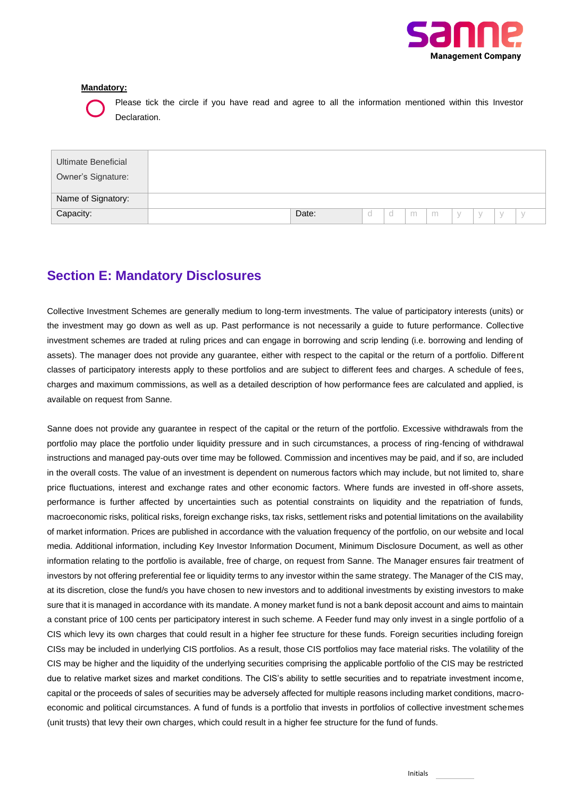

#### **Mandatory:**



Please tick the circle if you have read and agree to all the information mentioned within this Investor Declaration.

| Ultimate Beneficial<br>Owner's Signature: |       |  |   |   |             |  |  |
|-------------------------------------------|-------|--|---|---|-------------|--|--|
| Name of Signatory:                        |       |  |   |   |             |  |  |
| Capacity:                                 | Date: |  | m | m | $\setminus$ |  |  |

## **Section E: Mandatory Disclosures**

Collective Investment Schemes are generally medium to long-term investments. The value of participatory interests (units) or the investment may go down as well as up. Past performance is not necessarily a guide to future performance. Collective investment schemes are traded at ruling prices and can engage in borrowing and scrip lending (i.e. borrowing and lending of assets). The manager does not provide any guarantee, either with respect to the capital or the return of a portfolio. Different classes of participatory interests apply to these portfolios and are subject to different fees and charges. A schedule of fees, charges and maximum commissions, as well as a detailed description of how performance fees are calculated and applied, is available on request from Sanne.

Sanne does not provide any guarantee in respect of the capital or the return of the portfolio. Excessive withdrawals from the portfolio may place the portfolio under liquidity pressure and in such circumstances, a process of ring-fencing of withdrawal instructions and managed pay-outs over time may be followed. Commission and incentives may be paid, and if so, are included in the overall costs. The value of an investment is dependent on numerous factors which may include, but not limited to, share price fluctuations, interest and exchange rates and other economic factors. Where funds are invested in off-shore assets, performance is further affected by uncertainties such as potential constraints on liquidity and the repatriation of funds, macroeconomic risks, political risks, foreign exchange risks, tax risks, settlement risks and potential limitations on the availability of market information. Prices are published in accordance with the valuation frequency of the portfolio, on our website and local media. Additional information, including Key Investor Information Document, Minimum Disclosure Document, as well as other information relating to the portfolio is available, free of charge, on request from Sanne. The Manager ensures fair treatment of investors by not offering preferential fee or liquidity terms to any investor within the same strategy. The Manager of the CIS may, at its discretion, close the fund/s you have chosen to new investors and to additional investments by existing investors to make sure that it is managed in accordance with its mandate. A money market fund is not a bank deposit account and aims to maintain a constant price of 100 cents per participatory interest in such scheme. A Feeder fund may only invest in a single portfolio of a CIS which levy its own charges that could result in a higher fee structure for these funds. Foreign securities including foreign CISs may be included in underlying CIS portfolios. As a result, those CIS portfolios may face material risks. The volatility of the CIS may be higher and the liquidity of the underlying securities comprising the applicable portfolio of the CIS may be restricted due to relative market sizes and market conditions. The CIS's ability to settle securities and to repatriate investment income, capital or the proceeds of sales of securities may be adversely affected for multiple reasons including market conditions, macroeconomic and political circumstances. A fund of funds is a portfolio that invests in portfolios of collective investment schemes (unit trusts) that levy their own charges, which could result in a higher fee structure for the fund of funds.